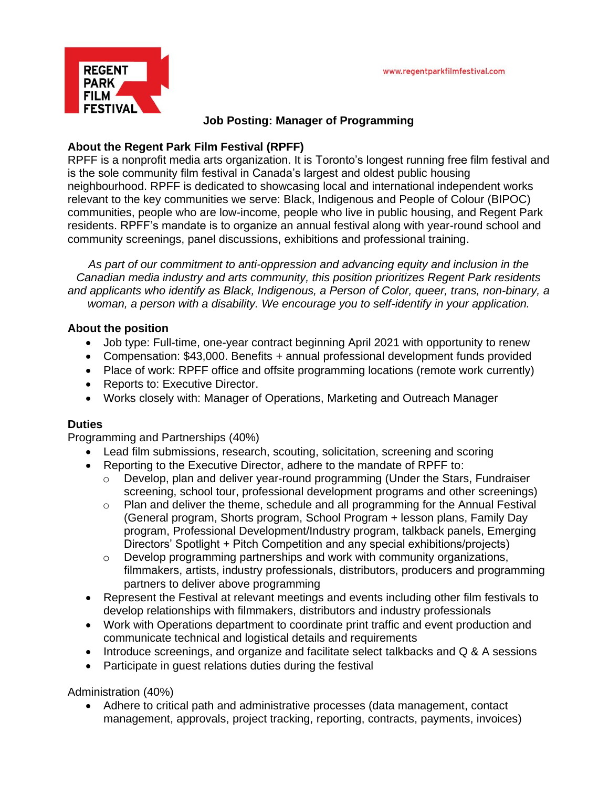

#### **Job Posting: Manager of Programming**

#### **About the Regent Park Film Festival (RPFF)**

RPFF is a nonprofit media arts organization. It is Toronto's longest running free film festival and is the sole community film festival in Canada's largest and oldest public housing neighbourhood. RPFF is dedicated to showcasing local and international independent works relevant to the key communities we serve: Black, Indigenous and People of Colour (BIPOC) communities, people who are low-income, people who live in public housing, and Regent Park residents. RPFF's mandate is to organize an annual festival along with year-round school and community screenings, panel discussions, exhibitions and professional training.

*As part of our commitment to anti-oppression and advancing equity and inclusion in the Canadian media industry and arts community, this position prioritizes Regent Park residents and applicants who identify as Black, Indigenous, a Person of Color, queer, trans, non-binary, a woman, a person with a disability. We encourage you to self-identify in your application.* 

#### **About the position**

- Job type: Full-time, one-year contract beginning April 2021 with opportunity to renew
- Compensation: \$43,000. Benefits + annual professional development funds provided
- Place of work: RPFF office and offsite programming locations (remote work currently)
- Reports to: Executive Director.
- Works closely with: Manager of Operations, Marketing and Outreach Manager

#### **Duties**

Programming and Partnerships (40%)

- Lead film submissions, research, scouting, solicitation, screening and scoring
- Reporting to the Executive Director, adhere to the mandate of RPFF to:
	- $\circ$  Develop, plan and deliver year-round programming (Under the Stars, Fundraiser screening, school tour, professional development programs and other screenings)
	- o Plan and deliver the theme, schedule and all programming for the Annual Festival (General program, Shorts program, School Program + lesson plans, Family Day program, Professional Development/Industry program, talkback panels, Emerging Directors' Spotlight + Pitch Competition and any special exhibitions/projects)
	- o Develop programming partnerships and work with community organizations, filmmakers, artists, industry professionals, distributors, producers and programming partners to deliver above programming
- Represent the Festival at relevant meetings and events including other film festivals to develop relationships with filmmakers, distributors and industry professionals
- Work with Operations department to coordinate print traffic and event production and communicate technical and logistical details and requirements
- Introduce screenings, and organize and facilitate select talkbacks and Q & A sessions
- Participate in guest relations duties during the festival

Administration (40%)

• Adhere to critical path and administrative processes (data management, contact management, approvals, project tracking, reporting, contracts, payments, invoices)